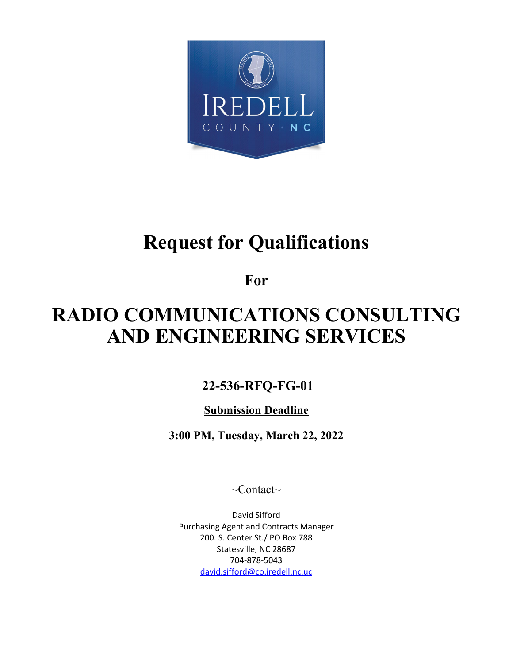

# **Request for Qualifications**

**For** 

# **RADIO COMMUNICATIONS CONSULTING AND ENGINEERING SERVICES**

# **22-536-RFQ-FG-01**

# **Submission Deadline**

**3:00 PM, Tuesday, March 22, 2022** 

 $\sim$ Contact $\sim$ 

David Sifford Purchasing Agent and Contracts Manager 200. S. Center St./ PO Box 788 Statesville, NC 28687 704‐878‐5043 david.sifford@co.iredell.nc.uc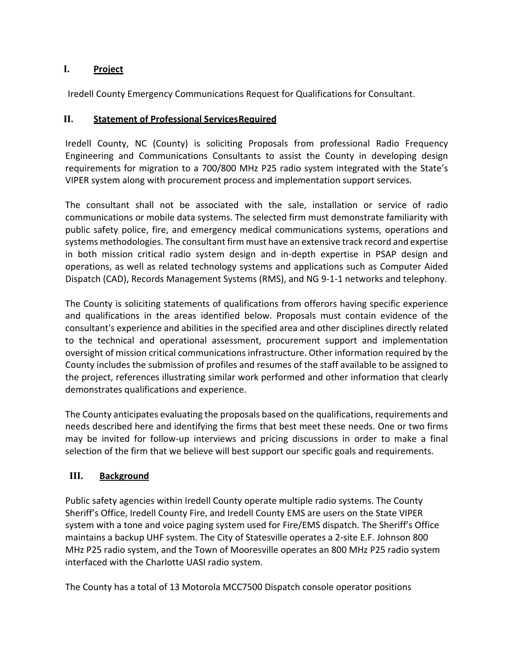# **I. Project**

Iredell County Emergency Communications Request for Qualifications for Consultant.

# **II. Statement of Professional ServicesRequired**

Iredell County, NC (County) is soliciting Proposals from professional Radio Frequency Engineering and Communications Consultants to assist the County in developing design requirements for migration to a 700/800 MHz P25 radio system integrated with the State's VIPER system along with procurement process and implementation support services.

The consultant shall not be associated with the sale, installation or service of radio communications or mobile data systems. The selected firm must demonstrate familiarity with public safety police, fire, and emergency medical communications systems, operations and systems methodologies. The consultant firm must have an extensive track record and expertise in both mission critical radio system design and in‐depth expertise in PSAP design and operations, as well as related technology systems and applications such as Computer Aided Dispatch (CAD), Records Management Systems (RMS), and NG 9‐1‐1 networks and telephony.

The County is soliciting statements of qualifications from offerors having specific experience and qualifications in the areas identified below. Proposals must contain evidence of the consultant's experience and abilities in the specified area and other disciplines directly related to the technical and operational assessment, procurement support and implementation oversight of mission critical communications infrastructure. Other information required by the County includes the submission of profiles and resumes of the staff available to be assigned to the project, references illustrating similar work performed and other information that clearly demonstrates qualifications and experience.

The County anticipates evaluating the proposals based on the qualifications, requirements and needs described here and identifying the firms that best meet these needs. One or two firms may be invited for follow‐up interviews and pricing discussions in order to make a final selection of the firm that we believe will best support our specific goals and requirements.

# **III. Background**

Public safety agencies within Iredell County operate multiple radio systems. The County Sheriff's Office, Iredell County Fire, and Iredell County EMS are users on the State VIPER system with a tone and voice paging system used for Fire/EMS dispatch. The Sheriff's Office maintains a backup UHF system. The City of Statesville operates a 2‐site E.F. Johnson 800 MHz P25 radio system, and the Town of Mooresville operates an 800 MHz P25 radio system interfaced with the Charlotte UASI radio system.

The County has a total of 13 Motorola MCC7500 Dispatch console operator positions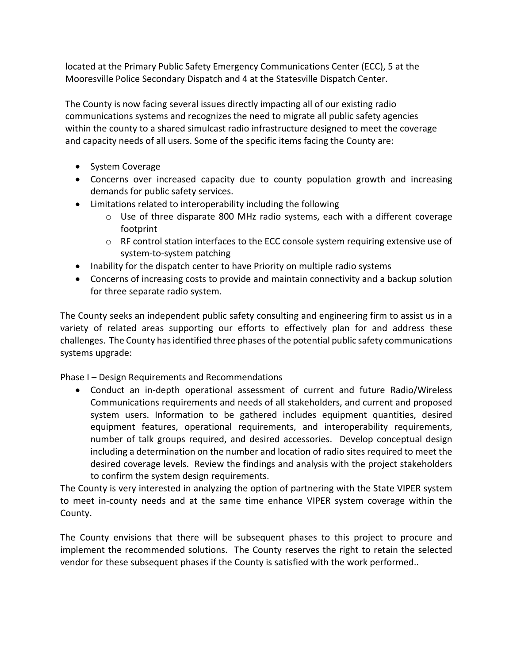located at the Primary Public Safety Emergency Communications Center (ECC), 5 at the Mooresville Police Secondary Dispatch and 4 at the Statesville Dispatch Center.

The County is now facing several issues directly impacting all of our existing radio communications systems and recognizes the need to migrate all public safety agencies within the county to a shared simulcast radio infrastructure designed to meet the coverage and capacity needs of all users. Some of the specific items facing the County are:

- System Coverage
- Concerns over increased capacity due to county population growth and increasing demands for public safety services.
- Limitations related to interoperability including the following
	- o Use of three disparate 800 MHz radio systems, each with a different coverage footprint
	- $\circ$  RF control station interfaces to the ECC console system requiring extensive use of system‐to‐system patching
- Inability for the dispatch center to have Priority on multiple radio systems
- Concerns of increasing costs to provide and maintain connectivity and a backup solution for three separate radio system.

The County seeks an independent public safety consulting and engineering firm to assist us in a variety of related areas supporting our efforts to effectively plan for and address these challenges. The County hasidentified three phases of the potential public safety communications systems upgrade:

Phase I – Design Requirements and Recommendations

● Conduct an in-depth operational assessment of current and future Radio/Wireless Communications requirements and needs of all stakeholders, and current and proposed system users. Information to be gathered includes equipment quantities, desired equipment features, operational requirements, and interoperability requirements, number of talk groups required, and desired accessories. Develop conceptual design including a determination on the number and location of radio sites required to meet the desired coverage levels. Review the findings and analysis with the project stakeholders to confirm the system design requirements.

The County is very interested in analyzing the option of partnering with the State VIPER system to meet in‐county needs and at the same time enhance VIPER system coverage within the County.

The County envisions that there will be subsequent phases to this project to procure and implement the recommended solutions. The County reserves the right to retain the selected vendor for these subsequent phases if the County is satisfied with the work performed..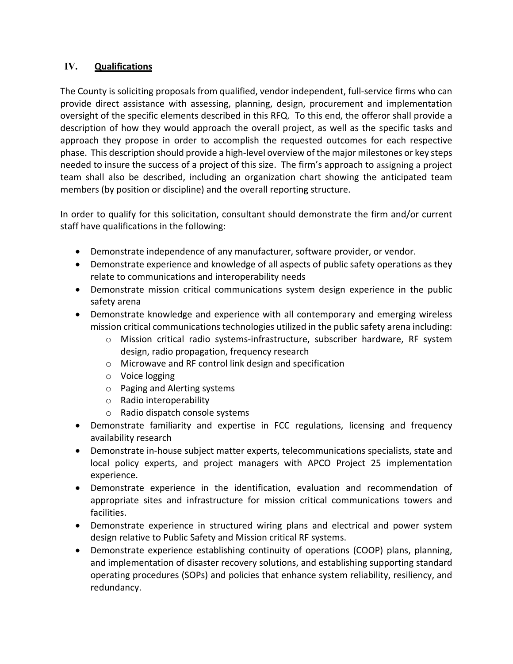# **IV. Qualifications**

The County is soliciting proposals from qualified, vendor independent, full‐service firms who can provide direct assistance with assessing, planning, design, procurement and implementation oversight of the specific elements described in this RFQ. To this end, the offeror shall provide a description of how they would approach the overall project, as well as the specific tasks and approach they propose in order to accomplish the requested outcomes for each respective phase. This description should provide a high‐level overview of the major milestones or key steps needed to insure the success of a project of this size. The firm's approach to assigning a project team shall also be described, including an organization chart showing the anticipated team members (by position or discipline) and the overall reporting structure.

In order to qualify for this solicitation, consultant should demonstrate the firm and/or current staff have qualifications in the following:

- Demonstrate independence of any manufacturer, software provider, or vendor.
- Demonstrate experience and knowledge of all aspects of public safety operations as they relate to communications and interoperability needs
- Demonstrate mission critical communications system design experience in the public safety arena
- Demonstrate knowledge and experience with all contemporary and emerging wireless mission critical communications technologies utilized in the public safety arena including:
	- o Mission critical radio systems‐infrastructure, subscriber hardware, RF system design, radio propagation, frequency research
	- o Microwave and RF control link design and specification
	- o Voice logging
	- o Paging and Alerting systems
	- o Radio interoperability
	- o Radio dispatch console systems
- Demonstrate familiarity and expertise in FCC regulations, licensing and frequency availability research
- Demonstrate in-house subject matter experts, telecommunications specialists, state and local policy experts, and project managers with APCO Project 25 implementation experience.
- Demonstrate experience in the identification, evaluation and recommendation of appropriate sites and infrastructure for mission critical communications towers and facilities.
- Demonstrate experience in structured wiring plans and electrical and power system design relative to Public Safety and Mission critical RF systems.
- Demonstrate experience establishing continuity of operations (COOP) plans, planning, and implementation of disaster recovery solutions, and establishing supporting standard operating procedures (SOPs) and policies that enhance system reliability, resiliency, and redundancy.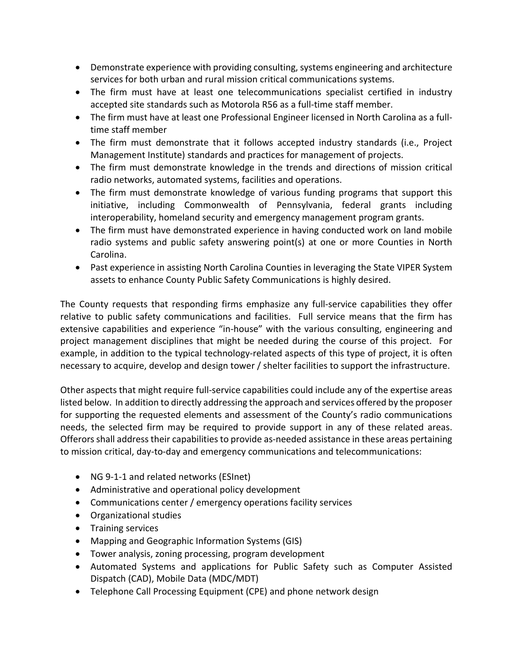- Demonstrate experience with providing consulting, systems engineering and architecture services for both urban and rural mission critical communications systems.
- The firm must have at least one telecommunications specialist certified in industry accepted site standards such as Motorola R56 as a full‐time staff member.
- The firm must have at least one Professional Engineer licensed in North Carolina as a fulltime staff member
- The firm must demonstrate that it follows accepted industry standards (i.e., Project Management Institute) standards and practices for management of projects.
- The firm must demonstrate knowledge in the trends and directions of mission critical radio networks, automated systems, facilities and operations.
- The firm must demonstrate knowledge of various funding programs that support this initiative, including Commonwealth of Pennsylvania, federal grants including interoperability, homeland security and emergency management program grants.
- The firm must have demonstrated experience in having conducted work on land mobile radio systems and public safety answering point(s) at one or more Counties in North Carolina.
- Past experience in assisting North Carolina Counties in leveraging the State VIPER System assets to enhance County Public Safety Communications is highly desired.

The County requests that responding firms emphasize any full-service capabilities they offer relative to public safety communications and facilities. Full service means that the firm has extensive capabilities and experience "in-house" with the various consulting, engineering and project management disciplines that might be needed during the course of this project. For example, in addition to the typical technology-related aspects of this type of project, it is often necessary to acquire, develop and design tower / shelter facilities to support the infrastructure.

Other aspects that might require full-service capabilities could include any of the expertise areas listed below. In addition to directly addressing the approach and services offered by the proposer for supporting the requested elements and assessment of the County's radio communications needs, the selected firm may be required to provide support in any of these related areas. Offerors shall address their capabilities to provide as-needed assistance in these areas pertaining to mission critical, day‐to‐day and emergency communications and telecommunications:

- NG 9-1-1 and related networks (ESInet)
- Administrative and operational policy development
- Communications center / emergency operations facility services
- Organizational studies
- Training services
- Mapping and Geographic Information Systems (GIS)
- Tower analysis, zoning processing, program development
- Automated Systems and applications for Public Safety such as Computer Assisted Dispatch (CAD), Mobile Data (MDC/MDT)
- Telephone Call Processing Equipment (CPE) and phone network design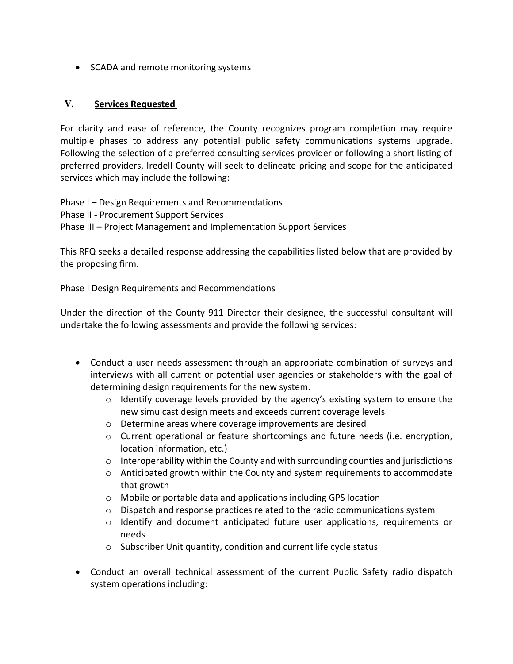• SCADA and remote monitoring systems

# **V. Services Requested**

For clarity and ease of reference, the County recognizes program completion may require multiple phases to address any potential public safety communications systems upgrade. Following the selection of a preferred consulting services provider or following a short listing of preferred providers, Iredell County will seek to delineate pricing and scope for the anticipated services which may include the following:

Phase I – Design Requirements and Recommendations Phase II ‐ Procurement Support Services Phase III – Project Management and Implementation Support Services

This RFQ seeks a detailed response addressing the capabilities listed below that are provided by the proposing firm.

### Phase I Design Requirements and Recommendations

Under the direction of the County 911 Director their designee, the successful consultant will undertake the following assessments and provide the following services:

- Conduct a user needs assessment through an appropriate combination of surveys and interviews with all current or potential user agencies or stakeholders with the goal of determining design requirements for the new system.
	- $\circ$  Identify coverage levels provided by the agency's existing system to ensure the new simulcast design meets and exceeds current coverage levels
	- o Determine areas where coverage improvements are desired
	- $\circ$  Current operational or feature shortcomings and future needs (i.e. encryption, location information, etc.)
	- o Interoperability within the County and with surrounding counties and jurisdictions
	- $\circ$  Anticipated growth within the County and system requirements to accommodate that growth
	- o Mobile or portable data and applications including GPS location
	- $\circ$  Dispatch and response practices related to the radio communications system
	- $\circ$  Identify and document anticipated future user applications, requirements or needs
	- $\circ$  Subscriber Unit quantity, condition and current life cycle status
- Conduct an overall technical assessment of the current Public Safety radio dispatch system operations including: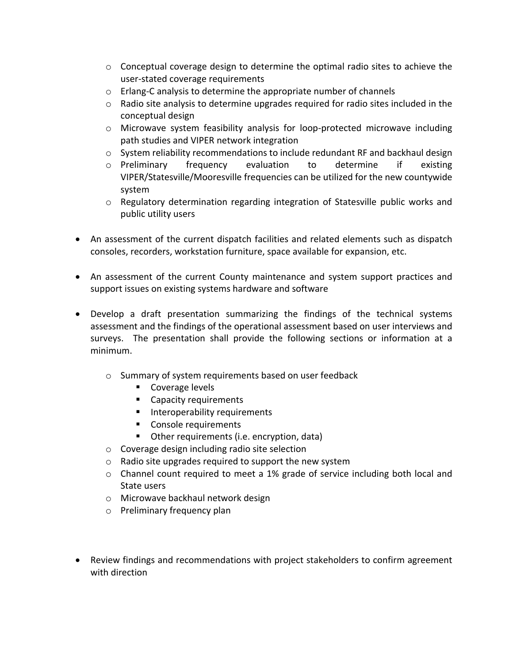- $\circ$  Conceptual coverage design to determine the optimal radio sites to achieve the user‐stated coverage requirements
- o Erlang‐C analysis to determine the appropriate number of channels
- $\circ$  Radio site analysis to determine upgrades required for radio sites included in the conceptual design
- o Microwave system feasibility analysis for loop‐protected microwave including path studies and VIPER network integration
- $\circ$  System reliability recommendations to include redundant RF and backhaul design
- o Preliminary frequency evaluation to determine if existing VIPER/Statesville/Mooresville frequencies can be utilized for the new countywide system
- o Regulatory determination regarding integration of Statesville public works and public utility users
- An assessment of the current dispatch facilities and related elements such as dispatch consoles, recorders, workstation furniture, space available for expansion, etc.
- An assessment of the current County maintenance and system support practices and support issues on existing systems hardware and software
- Develop a draft presentation summarizing the findings of the technical systems assessment and the findings of the operational assessment based on user interviews and surveys. The presentation shall provide the following sections or information at a minimum.
	- o Summary of system requirements based on user feedback
		- **Coverage levels**
		- Capacity requirements
		- **Interoperability requirements**
		- **Console requirements**
		- Other requirements (i.e. encryption, data)
	- o Coverage design including radio site selection
	- o Radio site upgrades required to support the new system
	- $\circ$  Channel count required to meet a 1% grade of service including both local and State users
	- o Microwave backhaul network design
	- o Preliminary frequency plan
- Review findings and recommendations with project stakeholders to confirm agreement with direction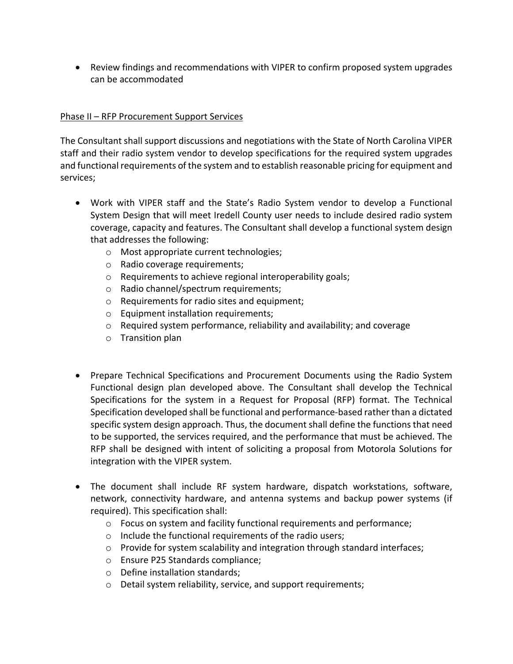Review findings and recommendations with VIPER to confirm proposed system upgrades can be accommodated

# Phase II – RFP Procurement Support Services

The Consultant shall support discussions and negotiations with the State of North Carolina VIPER staff and their radio system vendor to develop specifications for the required system upgrades and functional requirements of the system and to establish reasonable pricing for equipment and services;

- Work with VIPER staff and the State's Radio System vendor to develop a Functional System Design that will meet Iredell County user needs to include desired radio system coverage, capacity and features. The Consultant shall develop a functional system design that addresses the following:
	- o Most appropriate current technologies;
	- o Radio coverage requirements;
	- o Requirements to achieve regional interoperability goals;
	- o Radio channel/spectrum requirements;
	- o Requirements for radio sites and equipment;
	- o Equipment installation requirements;
	- o Required system performance, reliability and availability; and coverage
	- o Transition plan
- Prepare Technical Specifications and Procurement Documents using the Radio System Functional design plan developed above. The Consultant shall develop the Technical Specifications for the system in a Request for Proposal (RFP) format. The Technical Specification developed shall be functional and performance‐based rather than a dictated specific system design approach. Thus, the document shall define the functions that need to be supported, the services required, and the performance that must be achieved. The RFP shall be designed with intent of soliciting a proposal from Motorola Solutions for integration with the VIPER system.
- The document shall include RF system hardware, dispatch workstations, software, network, connectivity hardware, and antenna systems and backup power systems (if required). This specification shall:
	- o Focus on system and facility functional requirements and performance;
	- o Include the functional requirements of the radio users;
	- $\circ$  Provide for system scalability and integration through standard interfaces;
	- o Ensure P25 Standards compliance;
	- o Define installation standards;
	- o Detail system reliability, service, and support requirements;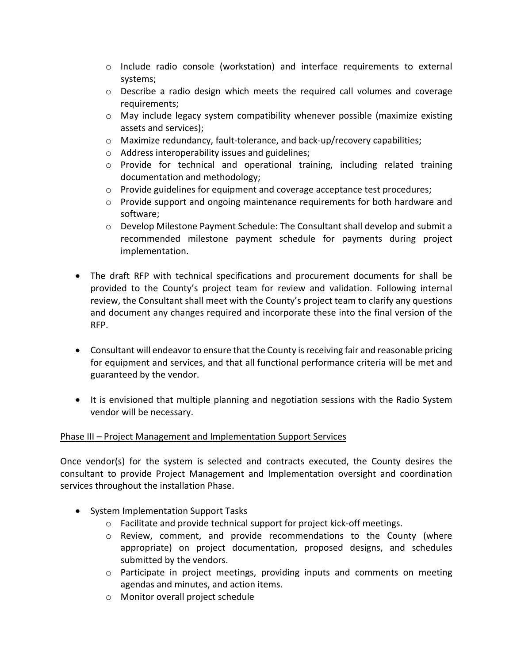- $\circ$  Include radio console (workstation) and interface requirements to external systems;
- $\circ$  Describe a radio design which meets the required call volumes and coverage requirements;
- $\circ$  May include legacy system compatibility whenever possible (maximize existing assets and services);
- o Maximize redundancy, fault‐tolerance, and back‐up/recovery capabilities;
- o Address interoperability issues and guidelines;
- o Provide for technical and operational training, including related training documentation and methodology;
- $\circ$  Provide guidelines for equipment and coverage acceptance test procedures;
- o Provide support and ongoing maintenance requirements for both hardware and software;
- o Develop Milestone Payment Schedule: The Consultant shall develop and submit a recommended milestone payment schedule for payments during project implementation.
- The draft RFP with technical specifications and procurement documents for shall be provided to the County's project team for review and validation. Following internal review, the Consultant shall meet with the County's project team to clarify any questions and document any changes required and incorporate these into the final version of the RFP.
- Consultant will endeavor to ensure that the County is receiving fair and reasonable pricing for equipment and services, and that all functional performance criteria will be met and guaranteed by the vendor.
- It is envisioned that multiple planning and negotiation sessions with the Radio System vendor will be necessary.

# Phase III – Project Management and Implementation Support Services

Once vendor(s) for the system is selected and contracts executed, the County desires the consultant to provide Project Management and Implementation oversight and coordination services throughout the installation Phase.

- System Implementation Support Tasks
	- o Facilitate and provide technical support for project kick‐off meetings.
	- $\circ$  Review, comment, and provide recommendations to the County (where appropriate) on project documentation, proposed designs, and schedules submitted by the vendors.
	- $\circ$  Participate in project meetings, providing inputs and comments on meeting agendas and minutes, and action items.
	- o Monitor overall project schedule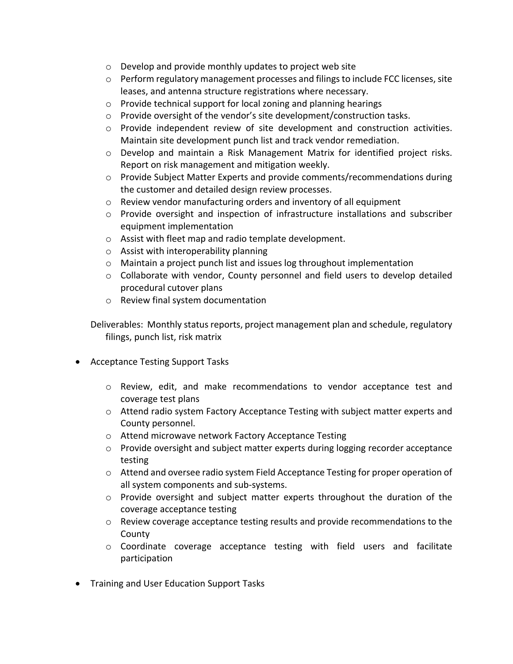- o Develop and provide monthly updates to project web site
- $\circ$  Perform regulatory management processes and filings to include FCC licenses, site leases, and antenna structure registrations where necessary.
- o Provide technical support for local zoning and planning hearings
- o Provide oversight of the vendor's site development/construction tasks.
- $\circ$  Provide independent review of site development and construction activities. Maintain site development punch list and track vendor remediation.
- $\circ$  Develop and maintain a Risk Management Matrix for identified project risks. Report on risk management and mitigation weekly.
- $\circ$  Provide Subject Matter Experts and provide comments/recommendations during the customer and detailed design review processes.
- o Review vendor manufacturing orders and inventory of all equipment
- $\circ$  Provide oversight and inspection of infrastructure installations and subscriber equipment implementation
- o Assist with fleet map and radio template development.
- o Assist with interoperability planning
- o Maintain a project punch list and issues log throughout implementation
- $\circ$  Collaborate with vendor, County personnel and field users to develop detailed procedural cutover plans
- o Review final system documentation

Deliverables: Monthly status reports, project management plan and schedule, regulatory filings, punch list, risk matrix

- Acceptance Testing Support Tasks
	- o Review, edit, and make recommendations to vendor acceptance test and coverage test plans
	- o Attend radio system Factory Acceptance Testing with subject matter experts and County personnel.
	- o Attend microwave network Factory Acceptance Testing
	- $\circ$  Provide oversight and subject matter experts during logging recorder acceptance testing
	- $\circ$  Attend and oversee radio system Field Acceptance Testing for proper operation of all system components and sub‐systems.
	- o Provide oversight and subject matter experts throughout the duration of the coverage acceptance testing
	- $\circ$  Review coverage acceptance testing results and provide recommendations to the County
	- o Coordinate coverage acceptance testing with field users and facilitate participation
- Training and User Education Support Tasks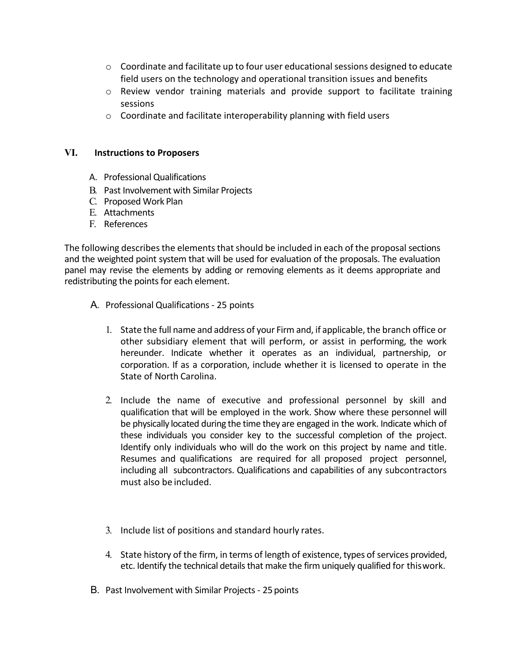- $\circ$  Coordinate and facilitate up to four user educational sessions designed to educate field users on the technology and operational transition issues and benefits
- $\circ$  Review vendor training materials and provide support to facilitate training sessions
- o Coordinate and facilitate interoperability planning with field users

### **VI. Instructions to Proposers**

- A. Professional Qualifications
- B. Past Involvement with Similar Projects
- C. Proposed Work Plan
- E. Attachments
- F. References

The following describes the elements that should be included in each of the proposal sections and the weighted point system that will be used for evaluation of the proposals. The evaluation panel may revise the elements by adding or removing elements as it deems appropriate and redistributing the points for each element.

- A. Professional Qualifications ‐ 25 points
	- 1. State the full name and address of your Firm and, if applicable, the branch office or other subsidiary element that will perform, or assist in performing, the work hereunder. Indicate whether it operates as an individual, partnership, or corporation. If as a corporation, include whether it is licensed to operate in the State of North Carolina.
	- 2. Include the name of executive and professional personnel by skill and qualification that will be employed in the work. Show where these personnel will be physically located during the time they are engaged in the work. Indicate which of these individuals you consider key to the successful completion of the project. Identify only individuals who will do the work on this project by name and title. Resumes and qualifications are required for all proposed project personnel, including all subcontractors. Qualifications and capabilities of any subcontractors must also be included.
	- 3. Include list of positions and standard hourly rates.
	- 4. State history of the firm, in terms of length of existence, types of services provided, etc. Identify the technical details that make the firm uniquely qualified for this work.
- B. Past Involvement with Similar Projects ‐ 25 points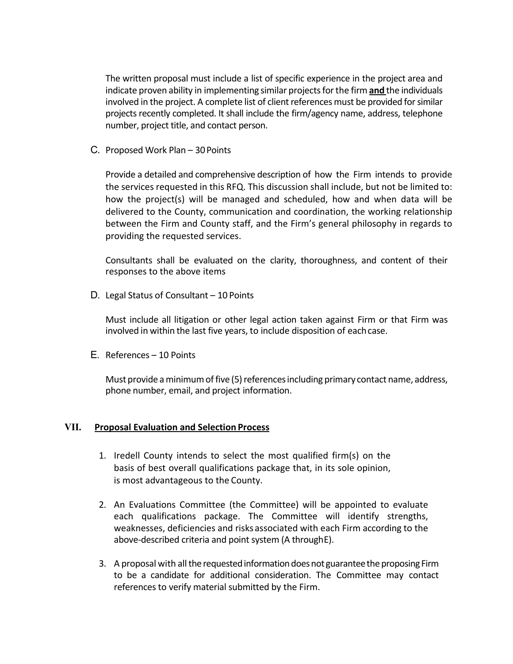The written proposal must include a list of specific experience in the project area and indicate proven ability in implementing similar projects for the firm **and** the individuals involved in the project. A complete list of client references must be provided for similar projects recently completed. It shall include the firm/agency name, address, telephone number, project title, and contact person.

C. Proposed Work Plan – 30Points

Provide a detailed and comprehensive description of how the Firm intends to provide the services requested in this RFQ. This discussion shall include, but not be limited to: how the project(s) will be managed and scheduled, how and when data will be delivered to the County, communication and coordination, the working relationship between the Firm and County staff, and the Firm's general philosophy in regards to providing the requested services.

Consultants shall be evaluated on the clarity, thoroughness, and content of their responses to the above items

D. Legal Status of Consultant – 10 Points

Must include all litigation or other legal action taken against Firm or that Firm was involved in within the last five years, to include disposition of eachcase.

E. References – 10 Points

Must provide a minimum of five (5) references including primary contact name, address, phone number, email, and project information.

#### **VII. Proposal Evaluation and Selection Process**

- 1. Iredell County intends to select the most qualified firm(s) on the basis of best overall qualifications package that, in its sole opinion, is most advantageous to the County.
- 2. An Evaluations Committee (the Committee) will be appointed to evaluate each qualifications package. The Committee will identify strengths, weaknesses, deficiencies and risksassociated with each Firm according to the above-described criteria and point system (A throughE).
- 3. A proposal with all the requested information does not guarantee the proposing Firm to be a candidate for additional consideration. The Committee may contact references to verify material submitted by the Firm.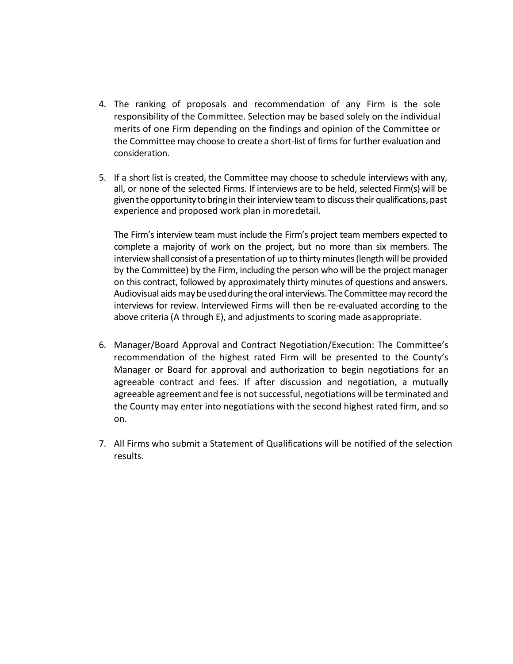- 4. The ranking of proposals and recommendation of any Firm is the sole responsibility of the Committee. Selection may be based solely on the individual merits of one Firm depending on the findings and opinion of the Committee or the Committee may choose to create a short-list of firms for further evaluation and consideration.
- 5. If a short list is created, the Committee may choose to schedule interviews with any, all, or none of the selected Firms. If interviews are to be held, selected Firm(s) will be given the opportunity to bring in their interview team to discuss their qualifications, past experience and proposed work plan in moredetail.

The Firm's interview team must include the Firm's project team members expected to complete a majority of work on the project, but no more than six members. The interview shall consist of a presentation of up to thirty minutes (length will be provided by the Committee) by the Firm, including the person who will be the project manager on this contract, followed by approximately thirty minutes of questions and answers. Audiovisual aids may be used during the oral interviews. The Committee may record the interviews for review. Interviewed Firms will then be re‐evaluated according to the above criteria (A through E), and adjustments to scoring made asappropriate.

- 6. Manager/Board Approval and Contract Negotiation/Execution: The Committee's recommendation of the highest rated Firm will be presented to the County's Manager or Board for approval and authorization to begin negotiations for an agreeable contract and fees. If after discussion and negotiation, a mutually agreeable agreement and fee is not successful, negotiations will be terminated and the County may enter into negotiations with the second highest rated firm, and so on.
- 7. All Firms who submit a Statement of Qualifications will be notified of the selection results.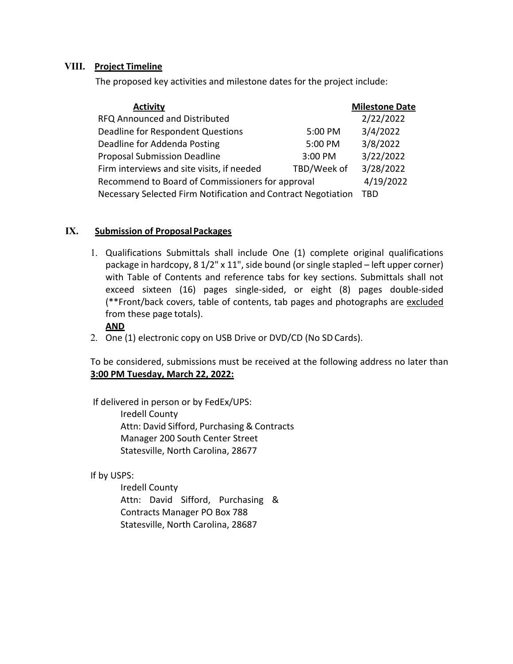### **VIII. Project Timeline**

The proposed key activities and milestone dates for the project include:

| <b>Activity</b>                                               |             | <b>Milestone Date</b> |
|---------------------------------------------------------------|-------------|-----------------------|
| RFQ Announced and Distributed                                 |             | 2/22/2022             |
| Deadline for Respondent Questions                             | 5:00 PM     | 3/4/2022              |
| Deadline for Addenda Posting                                  | 5:00 PM     | 3/8/2022              |
| <b>Proposal Submission Deadline</b>                           | 3:00 PM     | 3/22/2022             |
| Firm interviews and site visits, if needed                    | TBD/Week of | 3/28/2022             |
| Recommend to Board of Commissioners for approval              |             | 4/19/2022             |
| Necessary Selected Firm Notification and Contract Negotiation |             | TBD                   |

#### **IX. Submission of ProposalPackages**

1. Qualifications Submittals shall include One (1) complete original qualifications package in hardcopy, 8 1/2" x 11", side bound (or single stapled – left upper corner) with Table of Contents and reference tabs for key sections. Submittals shall not exceed sixteen (16) pages single‐sided, or eight (8) pages double‐sided (\*\*Front/back covers, table of contents, tab pages and photographs are excluded from these page totals).

**AND**

2. One (1) electronic copy on USB Drive or DVD/CD (No SD Cards).

To be considered, submissions must be received at the following address no later than **3:00 PM Tuesday, March 22, 2022:**

If delivered in person or by FedEx/UPS: Iredell County Attn: David Sifford, Purchasing & Contracts Manager 200 South Center Street Statesville, North Carolina, 28677

If by USPS:

Iredell County Attn: David Sifford, Purchasing & Contracts Manager PO Box 788 Statesville, North Carolina, 28687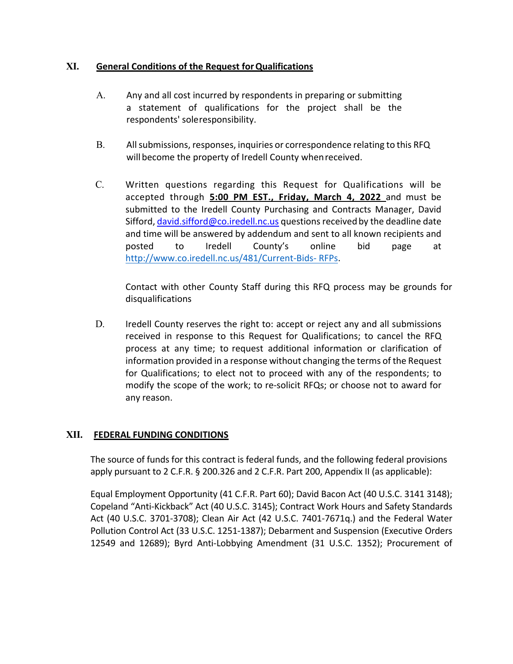# **XI. General Conditions of the Request forQualifications**

- A. Any and all cost incurred by respondents in preparing or submitting a statement of qualifications for the project shall be the respondents' soleresponsibility.
- B. Allsubmissions, responses, inquiries or correspondence relating to this RFQ will become the property of Iredell County whenreceived.
- C. Written questions regarding this Request for Qualifications will be accepted through **5:00 PM EST., Friday, March 4, 2022** and must be submitted to the Iredell County Purchasing and Contracts Manager, David Sifford, david.sifford@co.iredell.nc.us questions received by the deadline date and time will be answered by addendum and sent to all known recipients and posted to Iredell County's online bid page at http://www.co.iredell.nc.us/481/Current‐Bids‐ RFPs.

Contact with other County Staff during this RFQ process may be grounds for disqualifications

D. Iredell County reserves the right to: accept or reject any and all submissions received in response to this Request for Qualifications; to cancel the RFQ process at any time; to request additional information or clarification of information provided in a response without changing the terms of the Request for Qualifications; to elect not to proceed with any of the respondents; to modify the scope of the work; to re‐solicit RFQs; or choose not to award for any reason.

# **XII. FEDERAL FUNDING CONDITIONS**

The source of funds for this contract is federal funds, and the following federal provisions apply pursuant to 2 C.F.R. § 200.326 and 2 C.F.R. Part 200, Appendix II (as applicable):

Equal Employment Opportunity (41 C.F.R. Part 60); David Bacon Act (40 U.S.C. 3141 3148); Copeland "Anti‐Kickback" Act (40 U.S.C. 3145); Contract Work Hours and Safety Standards Act (40 U.S.C. 3701‐3708); Clean Air Act (42 U.S.C. 7401‐7671q.) and the Federal Water Pollution Control Act (33 U.S.C. 1251‐1387); Debarment and Suspension (Executive Orders 12549 and 12689); Byrd Anti‐Lobbying Amendment (31 U.S.C. 1352); Procurement of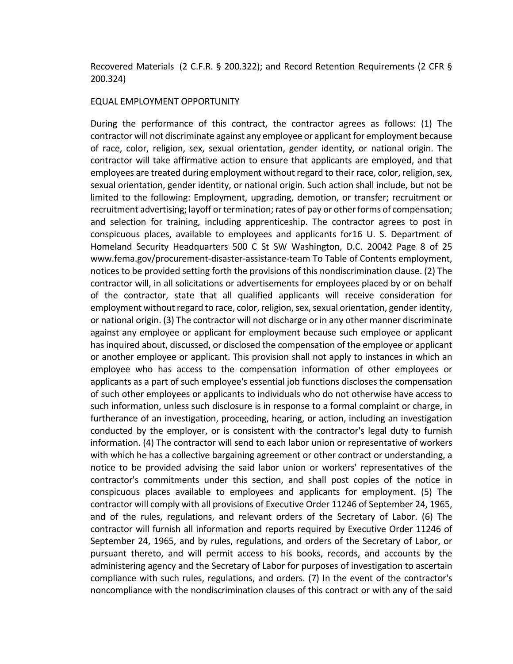Recovered Materials (2 C.F.R. § 200.322); and Record Retention Requirements (2 CFR § 200.324)

#### EQUAL EMPLOYMENT OPPORTUNITY

During the performance of this contract, the contractor agrees as follows: (1) The contractor will not discriminate against any employee or applicant for employment because of race, color, religion, sex, sexual orientation, gender identity, or national origin. The contractor will take affirmative action to ensure that applicants are employed, and that employees are treated during employment without regard to their race, color, religion, sex, sexual orientation, gender identity, or national origin. Such action shall include, but not be limited to the following: Employment, upgrading, demotion, or transfer; recruitment or recruitment advertising; layoff or termination; rates of pay or other forms of compensation; and selection for training, including apprenticeship. The contractor agrees to post in conspicuous places, available to employees and applicants for16 U. S. Department of Homeland Security Headquarters 500 C St SW Washington, D.C. 20042 Page 8 of 25 www.fema.gov/procurement‐disaster‐assistance‐team To Table of Contents employment, notices to be provided setting forth the provisions of this nondiscrimination clause. (2) The contractor will, in all solicitations or advertisements for employees placed by or on behalf of the contractor, state that all qualified applicants will receive consideration for employment without regard to race, color, religion, sex, sexual orientation, gender identity, or national origin. (3) The contractor will not discharge or in any other manner discriminate against any employee or applicant for employment because such employee or applicant hasinquired about, discussed, or disclosed the compensation of the employee or applicant or another employee or applicant. This provision shall not apply to instances in which an employee who has access to the compensation information of other employees or applicants as a part of such employee's essential job functions discloses the compensation of such other employees or applicants to individuals who do not otherwise have access to such information, unless such disclosure is in response to a formal complaint or charge, in furtherance of an investigation, proceeding, hearing, or action, including an investigation conducted by the employer, or is consistent with the contractor's legal duty to furnish information. (4) The contractor will send to each labor union or representative of workers with which he has a collective bargaining agreement or other contract or understanding, a notice to be provided advising the said labor union or workers' representatives of the contractor's commitments under this section, and shall post copies of the notice in conspicuous places available to employees and applicants for employment. (5) The contractor will comply with all provisions of Executive Order 11246 of September 24, 1965, and of the rules, regulations, and relevant orders of the Secretary of Labor. (6) The contractor will furnish all information and reports required by Executive Order 11246 of September 24, 1965, and by rules, regulations, and orders of the Secretary of Labor, or pursuant thereto, and will permit access to his books, records, and accounts by the administering agency and the Secretary of Labor for purposes of investigation to ascertain compliance with such rules, regulations, and orders. (7) In the event of the contractor's noncompliance with the nondiscrimination clauses of this contract or with any of the said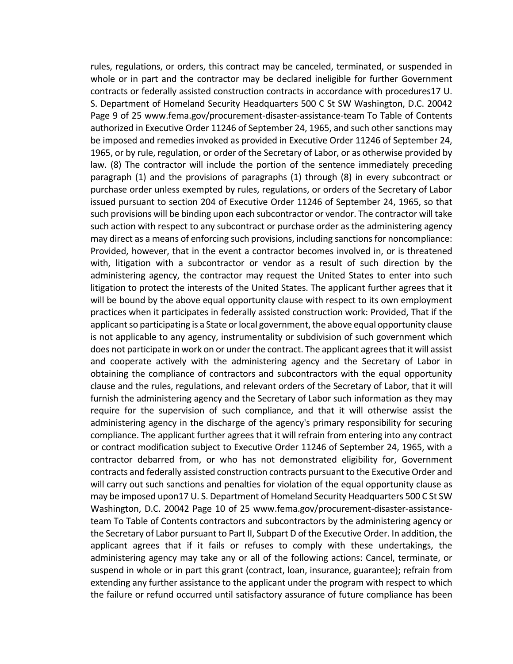rules, regulations, or orders, this contract may be canceled, terminated, or suspended in whole or in part and the contractor may be declared ineligible for further Government contracts or federally assisted construction contracts in accordance with procedures17 U. S. Department of Homeland Security Headquarters 500 C St SW Washington, D.C. 20042 Page 9 of 25 www.fema.gov/procurement‐disaster‐assistance‐team To Table of Contents authorized in Executive Order 11246 of September 24, 1965, and such other sanctions may be imposed and remedies invoked as provided in Executive Order 11246 of September 24, 1965, or by rule, regulation, or order of the Secretary of Labor, or as otherwise provided by law. (8) The contractor will include the portion of the sentence immediately preceding paragraph (1) and the provisions of paragraphs (1) through (8) in every subcontract or purchase order unless exempted by rules, regulations, or orders of the Secretary of Labor issued pursuant to section 204 of Executive Order 11246 of September 24, 1965, so that such provisions will be binding upon each subcontractor or vendor. The contractor will take such action with respect to any subcontract or purchase order as the administering agency may direct as a means of enforcing such provisions, including sanctionsfor noncompliance: Provided, however, that in the event a contractor becomes involved in, or is threatened with, litigation with a subcontractor or vendor as a result of such direction by the administering agency, the contractor may request the United States to enter into such litigation to protect the interests of the United States. The applicant further agrees that it will be bound by the above equal opportunity clause with respect to its own employment practices when it participates in federally assisted construction work: Provided, That if the applicant so participating is a State or local government, the above equal opportunity clause is not applicable to any agency, instrumentality or subdivision of such government which does not participate in work on or under the contract. The applicant agrees that it will assist and cooperate actively with the administering agency and the Secretary of Labor in obtaining the compliance of contractors and subcontractors with the equal opportunity clause and the rules, regulations, and relevant orders of the Secretary of Labor, that it will furnish the administering agency and the Secretary of Labor such information as they may require for the supervision of such compliance, and that it will otherwise assist the administering agency in the discharge of the agency's primary responsibility for securing compliance. The applicant further agrees that it will refrain from entering into any contract or contract modification subject to Executive Order 11246 of September 24, 1965, with a contractor debarred from, or who has not demonstrated eligibility for, Government contracts and federally assisted construction contracts pursuant to the Executive Order and will carry out such sanctions and penalties for violation of the equal opportunity clause as may be imposed upon17 U. S. Department of Homeland Security Headquarters 500 C St SW Washington, D.C. 20042 Page 10 of 25 www.fema.gov/procurement‐disaster‐assistance‐ team To Table of Contents contractors and subcontractors by the administering agency or the Secretary of Labor pursuant to Part II, Subpart D of the Executive Order. In addition, the applicant agrees that if it fails or refuses to comply with these undertakings, the administering agency may take any or all of the following actions: Cancel, terminate, or suspend in whole or in part this grant (contract, loan, insurance, guarantee); refrain from extending any further assistance to the applicant under the program with respect to which the failure or refund occurred until satisfactory assurance of future compliance has been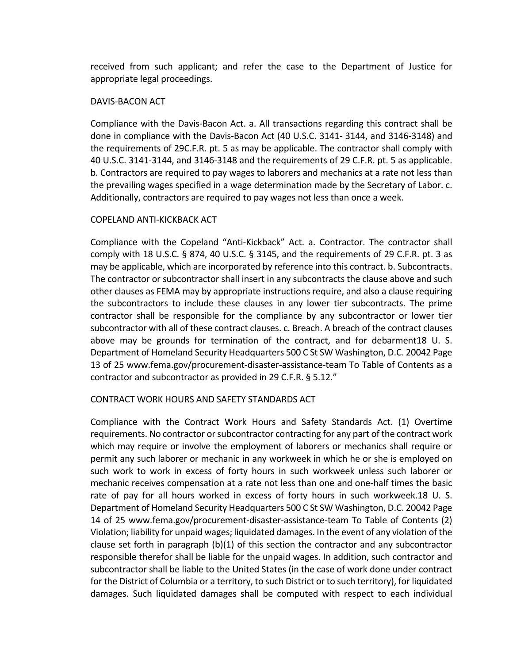received from such applicant; and refer the case to the Department of Justice for appropriate legal proceedings.

#### DAVIS‐BACON ACT

Compliance with the Davis‐Bacon Act. a. All transactions regarding this contract shall be done in compliance with the Davis‐Bacon Act (40 U.S.C. 3141‐ 3144, and 3146‐3148) and the requirements of 29C.F.R. pt. 5 as may be applicable. The contractor shall comply with 40 U.S.C. 3141‐3144, and 3146‐3148 and the requirements of 29 C.F.R. pt. 5 as applicable. b. Contractors are required to pay wages to laborers and mechanics at a rate not less than the prevailing wages specified in a wage determination made by the Secretary of Labor. c. Additionally, contractors are required to pay wages not less than once a week.

#### COPELAND ANTI‐KICKBACK ACT

Compliance with the Copeland "Anti‐Kickback" Act. a. Contractor. The contractor shall comply with 18 U.S.C. § 874, 40 U.S.C. § 3145, and the requirements of 29 C.F.R. pt. 3 as may be applicable, which are incorporated by reference into this contract. b. Subcontracts. The contractor or subcontractor shall insert in any subcontracts the clause above and such other clauses as FEMA may by appropriate instructions require, and also a clause requiring the subcontractors to include these clauses in any lower tier subcontracts. The prime contractor shall be responsible for the compliance by any subcontractor or lower tier subcontractor with all of these contract clauses. c. Breach. A breach of the contract clauses above may be grounds for termination of the contract, and for debarment18 U. S. Department of Homeland Security Headquarters 500 C St SW Washington, D.C. 20042 Page 13 of 25 www.fema.gov/procurement‐disaster‐assistance‐team To Table of Contents as a contractor and subcontractor as provided in 29 C.F.R. § 5.12."

#### CONTRACT WORK HOURS AND SAFETY STANDARDS ACT

Compliance with the Contract Work Hours and Safety Standards Act. (1) Overtime requirements. No contractor or subcontractor contracting for any part of the contract work which may require or involve the employment of laborers or mechanics shall require or permit any such laborer or mechanic in any workweek in which he or she is employed on such work to work in excess of forty hours in such workweek unless such laborer or mechanic receives compensation at a rate not less than one and one‐half times the basic rate of pay for all hours worked in excess of forty hours in such workweek.18 U. S. Department of Homeland Security Headquarters 500 C St SW Washington, D.C. 20042 Page 14 of 25 www.fema.gov/procurement‐disaster‐assistance‐team To Table of Contents (2) Violation; liability for unpaid wages; liquidated damages. In the event of any violation of the clause set forth in paragraph (b)(1) of this section the contractor and any subcontractor responsible therefor shall be liable for the unpaid wages. In addition, such contractor and subcontractor shall be liable to the United States (in the case of work done under contract for the District of Columbia or a territory, to such District or to such territory), for liquidated damages. Such liquidated damages shall be computed with respect to each individual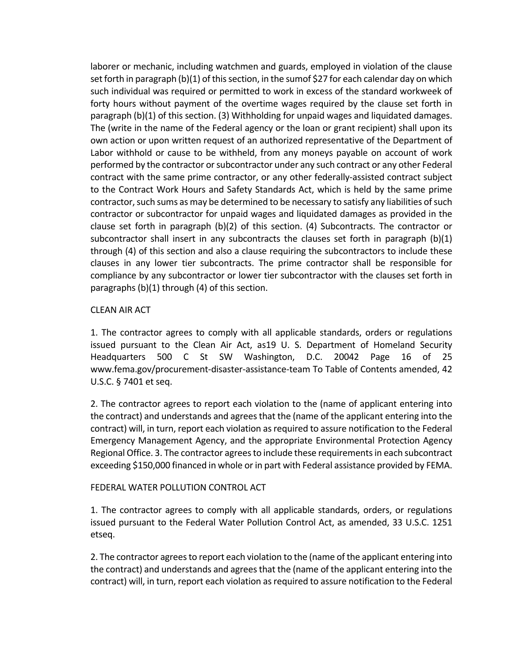laborer or mechanic, including watchmen and guards, employed in violation of the clause set forth in paragraph (b)(1) of this section, in the sumof \$27 for each calendar day on which such individual was required or permitted to work in excess of the standard workweek of forty hours without payment of the overtime wages required by the clause set forth in paragraph (b)(1) of this section. (3) Withholding for unpaid wages and liquidated damages. The (write in the name of the Federal agency or the loan or grant recipient) shall upon its own action or upon written request of an authorized representative of the Department of Labor withhold or cause to be withheld, from any moneys payable on account of work performed by the contractor orsubcontractor under any such contract or any other Federal contract with the same prime contractor, or any other federally‐assisted contract subject to the Contract Work Hours and Safety Standards Act, which is held by the same prime contractor, such sums as may be determined to be necessary to satisfy any liabilities of such contractor or subcontractor for unpaid wages and liquidated damages as provided in the clause set forth in paragraph (b)(2) of this section. (4) Subcontracts. The contractor or subcontractor shall insert in any subcontracts the clauses set forth in paragraph (b)(1) through (4) of this section and also a clause requiring the subcontractors to include these clauses in any lower tier subcontracts. The prime contractor shall be responsible for compliance by any subcontractor or lower tier subcontractor with the clauses set forth in paragraphs (b)(1) through (4) of this section.

#### CLEAN AIR ACT

1. The contractor agrees to comply with all applicable standards, orders or regulations issued pursuant to the Clean Air Act, as19 U. S. Department of Homeland Security Headquarters 500 C St SW Washington, D.C. 20042 Page 16 of 25 www.fema.gov/procurement‐disaster‐assistance‐team To Table of Contents amended, 42 U.S.C. § 7401 et seq.

2. The contractor agrees to report each violation to the (name of applicant entering into the contract) and understands and agrees that the (name of the applicant entering into the contract) will, in turn, report each violation as required to assure notification to the Federal Emergency Management Agency, and the appropriate Environmental Protection Agency Regional Office. 3. The contractor agrees to include these requirements in each subcontract exceeding \$150,000 financed in whole or in part with Federal assistance provided by FEMA.

#### FEDERAL WATER POLLUTION CONTROL ACT

1. The contractor agrees to comply with all applicable standards, orders, or regulations issued pursuant to the Federal Water Pollution Control Act, as amended, 33 U.S.C. 1251 etseq.

2. The contractor agrees to report each violation to the (name of the applicant entering into the contract) and understands and agreesthat the (name of the applicant entering into the contract) will, in turn, report each violation asrequired to assure notification to the Federal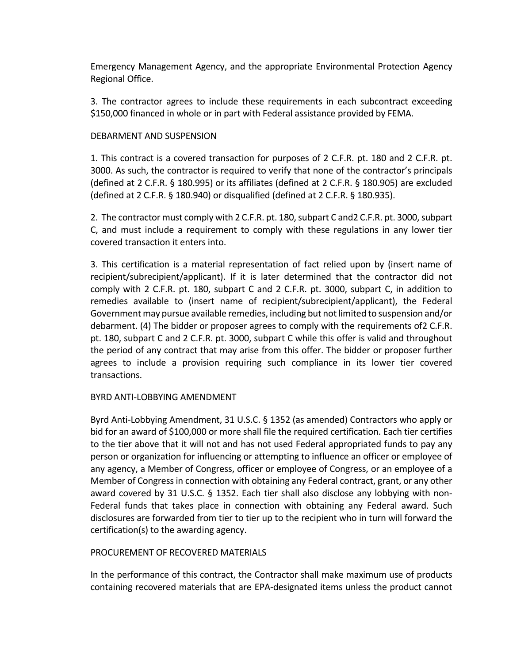Emergency Management Agency, and the appropriate Environmental Protection Agency Regional Office.

3. The contractor agrees to include these requirements in each subcontract exceeding \$150,000 financed in whole or in part with Federal assistance provided by FEMA.

#### DEBARMENT AND SUSPENSION

1. This contract is a covered transaction for purposes of 2 C.F.R. pt. 180 and 2 C.F.R. pt. 3000. As such, the contractor is required to verify that none of the contractor's principals (defined at 2 C.F.R. § 180.995) or its affiliates (defined at 2 C.F.R. § 180.905) are excluded (defined at 2 C.F.R. § 180.940) or disqualified (defined at 2 C.F.R. § 180.935).

2. The contractor must comply with 2 C.F.R. pt. 180, subpart C and 2 C.F.R. pt. 3000, subpart C, and must include a requirement to comply with these regulations in any lower tier covered transaction it enters into.

3. This certification is a material representation of fact relied upon by (insert name of recipient/subrecipient/applicant). If it is later determined that the contractor did not comply with 2 C.F.R. pt. 180, subpart C and 2 C.F.R. pt. 3000, subpart C, in addition to remedies available to (insert name of recipient/subrecipient/applicant), the Federal Government may pursue available remedies, including but not limited to suspension and/or debarment. (4) The bidder or proposer agrees to comply with the requirements of2 C.F.R. pt. 180, subpart C and 2 C.F.R. pt. 3000, subpart C while this offer is valid and throughout the period of any contract that may arise from this offer. The bidder or proposer further agrees to include a provision requiring such compliance in its lower tier covered transactions.

#### BYRD ANTI‐LOBBYING AMENDMENT

Byrd Anti-Lobbying Amendment, 31 U.S.C. § 1352 (as amended) Contractors who apply or bid for an award of \$100,000 or more shall file the required certification. Each tier certifies to the tier above that it will not and has not used Federal appropriated funds to pay any person or organization for influencing or attempting to influence an officer or employee of any agency, a Member of Congress, officer or employee of Congress, or an employee of a Member of Congressin connection with obtaining any Federal contract, grant, or any other award covered by 31 U.S.C. § 1352. Each tier shall also disclose any lobbying with non‐ Federal funds that takes place in connection with obtaining any Federal award. Such disclosures are forwarded from tier to tier up to the recipient who in turn will forward the certification(s) to the awarding agency.

#### PROCUREMENT OF RECOVERED MATERIALS

In the performance of this contract, the Contractor shall make maximum use of products containing recovered materials that are EPA‐designated items unless the product cannot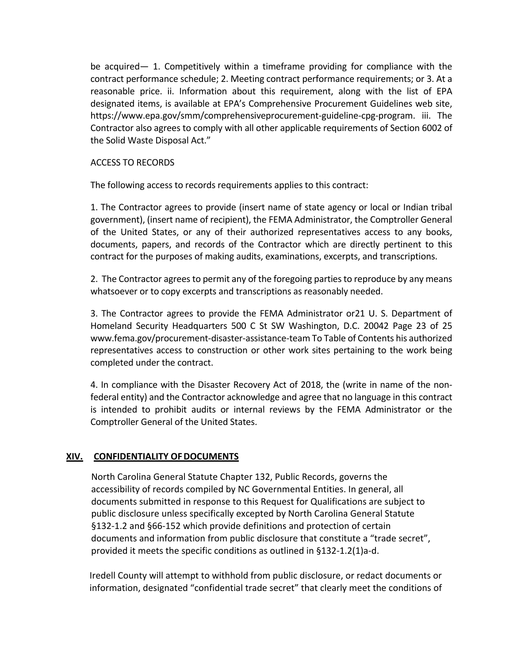be acquired— 1. Competitively within a timeframe providing for compliance with the contract performance schedule; 2. Meeting contract performance requirements; or 3. At a reasonable price. ii. Information about this requirement, along with the list of EPA designated items, is available at EPA's Comprehensive Procurement Guidelines web site, https://www.epa.gov/smm/comprehensiveprocurement‐guideline‐cpg‐program. iii. The Contractor also agrees to comply with all other applicable requirements of Section 6002 of the Solid Waste Disposal Act."

#### ACCESS TO RECORDS

The following access to records requirements applies to this contract:

1. The Contractor agrees to provide (insert name of state agency or local or Indian tribal government), (insert name of recipient), the FEMA Administrator, the Comptroller General of the United States, or any of their authorized representatives access to any books, documents, papers, and records of the Contractor which are directly pertinent to this contract for the purposes of making audits, examinations, excerpts, and transcriptions.

2. The Contractor agrees to permit any of the foregoing parties to reproduce by any means whatsoever or to copy excerpts and transcriptions as reasonably needed.

3. The Contractor agrees to provide the FEMA Administrator or21 U. S. Department of Homeland Security Headquarters 500 C St SW Washington, D.C. 20042 Page 23 of 25 www.fema.gov/procurement‐disaster‐assistance‐team To Table of Contents his authorized representatives access to construction or other work sites pertaining to the work being completed under the contract.

4. In compliance with the Disaster Recovery Act of 2018, the (write in name of the non‐ federal entity) and the Contractor acknowledge and agree that no language in this contract is intended to prohibit audits or internal reviews by the FEMA Administrator or the Comptroller General of the United States.

#### **XIV. CONFIDENTIALITY OFDOCUMENTS**

North Carolina General Statute Chapter 132, Public Records, governs the accessibility of records compiled by NC Governmental Entities. In general, all documents submitted in response to this Request for Qualifications are subject to public disclosure unless specifically excepted by North Carolina General Statute §132-1.2 and §66-152 which provide definitions and protection of certain documents and information from public disclosure that constitute a "trade secret", provided it meets the specific conditions as outlined in §132‐1.2(1)a‐d.

Iredell County will attempt to withhold from public disclosure, or redact documents or information, designated "confidential trade secret" that clearly meet the conditions of